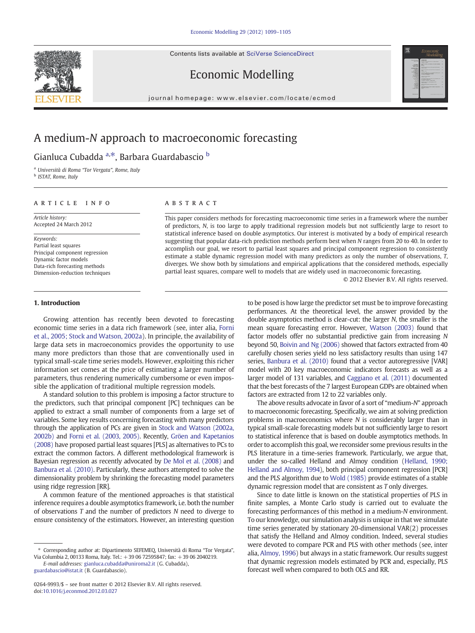Contents lists available at [SciVerse ScienceDirect](http://www.sciencedirect.com/science/journal/02649993)





Economic Modelling

journal homepage: www.elsevier.com/locate/ecmod

## A medium-N approach to macroeconomic forecasting

Gianluca Cubadda <sup>a,\*</sup>, Barbara Guardabascio <sup>b</sup>

<sup>a</sup> Università di Roma "Tor Vergata", Rome, Italy

<sup>b</sup> ISTAT, Rome, Italy

#### article info abstract

Article history: Accepted 24 March 2012

Keywords: Partial least squares Principal component regression Dynamic factor models Data-rich forecasting methods Dimension-reduction techniques

### 1. Introduction

#### Growing attention has recently been devoted to forecasting economic time series in a data rich framework (see, inter alia, [Forni](#page--1-0) [et al., 2005; Stock and Watson, 2002a](#page--1-0)). In principle, the availability of large data sets in macroeconomics provides the opportunity to use many more predictors than those that are conventionally used in typical small-scale time series models. However, exploiting this richer information set comes at the price of estimating a larger number of parameters, thus rendering numerically cumbersome or even impossible the application of traditional multiple regression models.

A standard solution to this problem is imposing a factor structure to the predictors, such that principal component [PC] techniques can be applied to extract a small number of components from a large set of variables. Some key results concerning forecasting with many predictors through the application of PCs are given in [Stock and Watson \(2002a,](#page--1-0) [2002b\)](#page--1-0) and [Forni et al. \(2003, 2005\)](#page--1-0). Recently, [Gröen and Kapetanios](#page--1-0) [\(2008\)](#page--1-0) have proposed partial least squares [PLS] as alternatives to PCs to extract the common factors. A different methodological framework is Bayesian regression as recently advocated by [De Mol et al. \(2008\)](#page--1-0) and [Banbura et al. \(2010\).](#page--1-0) Particularly, these authors attempted to solve the dimensionality problem by shrinking the forecasting model parameters using ridge regression [RR].

A common feature of the mentioned approaches is that statistical inference requires a double asymptotics framework, i.e. both the number of observations T and the number of predictors N need to diverge to ensure consistency of the estimators. However, an interesting question

This paper considers methods for forecasting macroeconomic time series in a framework where the number of predictors, N, is too large to apply traditional regression models but not sufficiently large to resort to statistical inference based on double asymptotics. Our interest is motivated by a body of empirical research suggesting that popular data-rich prediction methods perform best when N ranges from 20 to 40. In order to accomplish our goal, we resort to partial least squares and principal component regression to consistently estimate a stable dynamic regression model with many predictors as only the number of observations, T, diverges. We show both by simulations and empirical applications that the considered methods, especially partial least squares, compare well to models that are widely used in macroeconomic forecasting.

© 2012 Elsevier B.V. All rights reserved.

to be posed is how large the predictor set must be to improve forecasting performances. At the theoretical level, the answer provided by the double asymptotics method is clear-cut: the larger N, the smaller is the mean square forecasting error. However, [Watson \(2003\)](#page--1-0) found that factor models offer no substantial predictive gain from increasing N beyond 50, [Boivin and Ng \(2006\)](#page--1-0) showed that factors extracted from 40 carefully chosen series yield no less satisfactory results than using 147 series, [Banbura et al. \(2010\)](#page--1-0) found that a vector autoregressive [VAR] model with 20 key macroeconomic indicators forecasts as well as a larger model of 131 variables, and [Caggiano et al. \(2011\)](#page--1-0) documented that the best forecasts of the 7 largest European GDPs are obtained when factors are extracted from 12 to 22 variables only.

The above results advocate in favor of a sort of "medium-N" approach to macroeconomic forecasting. Specifically, we aim at solving prediction problems in macroeconomics where N is considerably larger than in typical small-scale forecasting models but not sufficiently large to resort to statistical inference that is based on double asymptotics methods. In order to accomplish this goal, we reconsider some previous results in the PLS literature in a time-series framework. Particularly, we argue that, under the so-called Helland and Almoy condition [\(Helland, 1990;](#page--1-0) [Helland and Almoy, 1994\)](#page--1-0), both principal component regression [PCR] and the PLS algorithm due to [Wold \(1985\)](#page--1-0) provide estimates of a stable dynamic regression model that are consistent as T only diverges.

Since to date little is known on the statistical properties of PLS in finite samples, a Monte Carlo study is carried out to evaluate the forecasting performances of this method in a medium-N environment. To our knowledge, our simulation analysis is unique in that we simulate time series generated by stationary 20-dimensional VAR(2) processes that satisfy the Helland and Almoy condition. Indeed, several studies were devoted to compare PCR and PLS with other methods (see, inter alia, [Almoy, 1996\)](#page--1-0) but always in a static framework. Our results suggest that dynamic regression models estimated by PCR and, especially, PLS forecast well when compared to both OLS and RR.

<sup>⁎</sup> Corresponding author at: Dipartimento SEFEMEQ, Università di Roma "Tor Vergata", Via Columbia 2, 00133 Roma, Italy. Tel.: +39 06 72595847; fax: +39 06 2040219.

E-mail addresses: [gianluca.cubadda@uniroma2.it](mailto:gianluca.cubadda@uniroma2.it) (G. Cubadda), [guardabascio@istat.it](mailto:gianluca.cubadda@uniroma2.it) (B. Guardabascio).

<sup>0264-9993/\$</sup> – see front matter © 2012 Elsevier B.V. All rights reserved. doi:[10.1016/j.econmod.2012.03.027](http://dx.doi.org/10.1016/j.econmod.2012.03.027)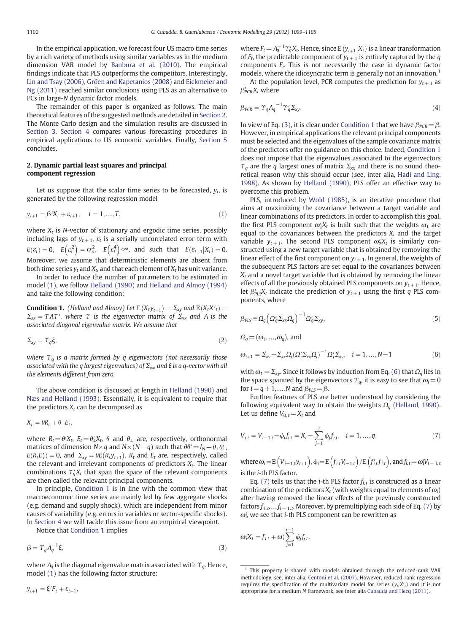In the empirical application, we forecast four US macro time series by a rich variety of methods using similar variables as in the medium dimension VAR model by [Banbura et al. \(2010\)](#page--1-0). The empirical findings indicate that PLS outperforms the competitors. Interestingly, [Lin and Tsay \(2006\)](#page--1-0), [Gröen and Kapetanios \(2008\)](#page--1-0) and [Eickmeier and](#page--1-0) [Ng \(2011\)](#page--1-0) reached similar conclusions using PLS as an alternative to PCs in large-N dynamic factor models.

The remainder of this paper is organized as follows. The main theoretical features of the suggested methods are detailed in Section 2. The Monte Carlo design and the simulation results are discussed in [Section 3.](#page--1-0) [Section 4](#page--1-0) compares various forecasting procedures in empirical applications to US economic variables. Finally, [Section 5](#page--1-0) concludes.

#### 2. Dynamic partial least squares and principal component regression

Let us suppose that the scalar time series to be forecasted,  $v_t$ , is generated by the following regression model

$$
y_{t+1} = \beta' X_t + \varepsilon_{t+1}, \quad t = 1, ..., T,
$$
\n(1)

where  $X_t$  is N-vector of stationary and ergodic time series, possibly including lags of  $y_{t+1}$ ,  $\varepsilon_t$  is a serially uncorrelated error term with  $E(\varepsilon_t) = 0$ ,  $E(\varepsilon_t^2) = \sigma_{\varepsilon}^2$ ,  $E(\varepsilon_t^4) < \infty$ , and such that  $E(\varepsilon_{t+1} | X_t) = 0$ . Moreover, we assume that deterministic elements are absent from both time series  $y_t$  and  $X_t$ , and that each element of  $X_t$  has unit variance.

In order to reduce the number of parameters to be estimated in model (1), we follow [Helland \(1990\)](#page--1-0) and [Helland and Almoy \(1994\)](#page--1-0) and take the following condition:

**Condition 1.** (Helland and Almoy) Let  $E(X_tY_{t+1}) = \sum_{xy}$  and  $E(X_tX'_t) =$  $\Sigma_{xx} = \Upsilon \Lambda \Upsilon'$ , where  $\Upsilon$  is the eigenvector matrix of  $\Sigma_{xx}$  and  $\Lambda$  is the associated diagonal eigenvalue matrix. We assume that

$$
\Sigma_{xy} = \Upsilon_q \xi,\tag{2}
$$

where  $\Upsilon_q$  is a matrix formed by q eigenvectors (not necessarily those associated with the q largest eigenvalues) of  $\Sigma_{xx}$  and  $\xi$  is a q-vector with all the elements different from zero.

The above condition is discussed at length in [Helland \(1990\)](#page--1-0) and [Næs and Helland \(1993\).](#page--1-0) Essentially, it is equivalent to require that the predictors  $X_t$  can be decomposed as

 $X_t = \theta R_t + \theta \, E_t$ 

where  $R_t = \theta' X_t$ ,  $E_t = \theta'_t X_t$ ,  $\theta$  and  $\theta_{\perp}$  are, respectively, orthonormal matrices of dimension  $N \times q$  and  $N \times (N-q)$  such that  $\theta \theta' = I_N - \theta_{\perp} \theta'_{\perp}$ ,  $E(R_t E_t') = 0$ , and  $\Sigma_{xy} = \theta E(R_t y_{t+1})$ .  $R_t$  and  $E_t$  are, respectively, called the relevant and irrelevant components of predictors  $X_t$ . The linear combinations  $\gamma_d X_t$  that span the space of the relevant components are then called the relevant principal components.

In principle, Condition 1 is in line with the common view that macroeconomic time series are mainly led by few aggregate shocks (e.g. demand and supply shock), which are independent from minor causes of variability (e.g. errors in variables or sector-specific shocks). In [Section 4](#page--1-0) we will tackle this issue from an empirical viewpoint.

Notice that Condition 1 implies

$$
\beta = \Upsilon_q \Lambda_q^{-1} \xi,\tag{3}
$$

where  $\Lambda_q$  is the diagonal eigenvalue matrix associated with  $\Upsilon_q$ . Hence, model (1) has the following factor structure:

where  $F_t = \Lambda_q^{-1} \Upsilon_q' X_t$ . Hence, since  $E(y_{t+1} | X_t)$  is a linear transformation of  $F_t$ , the predictable component of  $y_{t+1}$  is entirely captured by the q components  $F_t$ . This is not necessarily the case in dynamic factor models, where the idiosyncratic term is generally not an innovation.<sup>1</sup>

At the population level, PCR computes the prediction for  $y_{t+1}$  as  $\beta'_{PCR}X_t$  where

$$
\beta_{PCR} = \Upsilon_q \Lambda_q^{-1} \Upsilon_q' \Sigma_{xy}.
$$
\n(4)

In view of Eq. (3), it is clear under Condition 1 that we have  $\beta_{PCR}=\beta$ . However, in empirical applications the relevant principal components must be selected and the eigenvalues of the sample covariance matrix of the predictors offer no guidance on this choice. Indeed, Condition 1 does not impose that the eigenvalues associated to the eigenvectors  $\gamma_a$  are the q largest ones of matrix  $\Sigma_{xx}$  and there is no sound theoretical reason why this should occur (see, inter alia, [Hadi and Ling,](#page--1-0) [1998\)](#page--1-0). As shown by [Helland \(1990\)](#page--1-0), PLS offer an effective way to overcome this problem.

PLS, introduced by [Wold \(1985\)](#page--1-0), is an iterative procedure that aims at maximizing the covariance between a target variable and linear combinations of its predictors. In order to accomplish this goal, the first PLS component  $\omega_1' X_t$  is built such that the weights  $\omega_1$  are equal to the covariances between the predictors  $X_t$  and the target variable  $y_{t+1}$ . The second PLS component  $\omega_2'X_t$  is similarly constructed using a new target variable that is obtained by removing the linear effect of the first component on  $y_{t+1}$ . In general, the weights of the subsequent PLS factors are set equal to the covariances between  $X_t$  and a novel target variable that is obtained by removing the linear effects of all the previously obtained PLS components on  $y_{t+1}$ . Hence, let  $\beta'_{PLS}X_t$  indicate the prediction of  $y_{t+1}$  using the first q PLS components, where

$$
\beta_{PLS} \equiv \Omega_q \left( \Omega_q' \Sigma_{xx} \Omega_q \right)^{-1} \Omega_q' \Sigma_{xy},\tag{5}
$$

 $\Omega_a = (\omega_1, \ldots, \omega_a)$ , and

$$
\omega_{i+1} = \Sigma_{xy} - \Sigma_{xx} \Omega_i (\Omega'_i \Sigma_{xx} \Omega_i)^{-1} \Omega'_i \Sigma_{xy}, \quad i = 1, ..., N-1
$$
 (6)

with  $\omega_1 = \Sigma_{xy}$ . Since it follows by induction from Eq. (6) that  $\Omega_q$  lies in the space spanned by the eigenvectors  $\Upsilon_q$ , it is easy to see that  $\omega_i=0$ for  $i = q + 1, ..., N$  and  $\beta_{PIS} = \beta$ .

Further features of PLS are better understood by considering the following equivalent way to obtain the weights  $\Omega_q$  [\(Helland, 1990](#page--1-0)). Let us define  $V_{0,t}=X_t$  and

$$
V_{i,t} = V_{i-1,t} - \phi_i f_{i,t} = X_t - \sum_{j=1}^{i} \phi_j f_{j,t}, \quad i = 1, ..., q,
$$
\n(7)

where  $\omega_i = \mathbb{E}\left(V_{i-1,t}y_{t+1}\right), \phi_i = \mathbb{E}\left(f_{i,t}V_{i-1,t}\right) / \mathbb{E}\left(f'_{i,t}f_{i,t}\right),$  and  $f_{i,t} = \omega_i V_{i-1,t}$ is the i-th PLS factor.

Eq. (7) tells us that the *i*-th PLS factor  $f_{i,t}$  is constructed as a linear combination of the predictors  $X_t$  (with weights equal to elements of  $\omega_i$ ) after having removed the linear effects of the previously constructed factors  $f_1, \ldots, f_{i-1,t}$ . Moreover, by premultiplying each side of Eq. (7) by  $\omega'_i$ , we see that *i*-th PLS component can be rewritten as

$$
\omega_i'X_t = f_{i,t} + \omega_i' \sum_{j=1}^{i-1} \phi_j f_{j,t}.
$$

 $y_{t+1} = \xi'F_t + \varepsilon_{t+1},$ 

This property is shared with models obtained through the reduced-rank VAR methodology, see, inter alia, [Centoni et al. \(2007\).](#page--1-0) However, reduced-rank regression requires the specification of the multivariate model for series  $(y_t, X'_t)$  and it is not appropriate for a medium N framework, see inter alia [Cubadda and Hecq \(2011\).](#page--1-0)